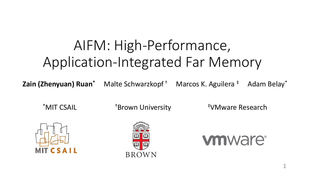# AIFM: High-Performance, Application-Integrated Far Memory

**Zain (Zhenyuan) Ruan<sup>\*</sup>** Malte Schwarzkopf<sup>+</sup> Marcos K. Aguilera<sup>+</sup> Adam Belay<sup>\*</sup>

\*MIT CSAIL **\***Brown University **\***WMware Research





**vmware**<sup>®</sup>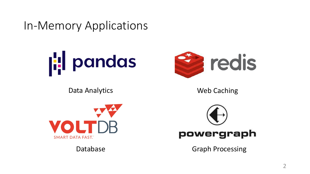In-Memory Applications



Data Analytics



Web Caching



Database



Graph Processing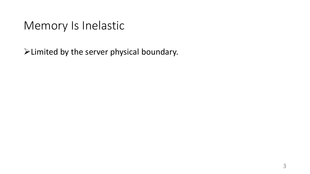#### Memory Is Inelastic

➢Limited by the server physical boundary.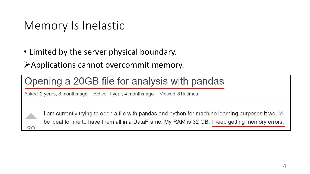## Memory Is Inelastic

• Limited by the server physical boundary.

➢Applications cannot overcommit memory.

#### Opening a 20GB file for analysis with pandas

Asked 2 years, 8 months ago Active 1 year, 4 months ago Viewed 81k times



I am currently trying to open a file with pandas and python for machine learning purposes it would be ideal for me to have them all in a DataFrame. My RAM is 32 GB. I keep getting memory errors.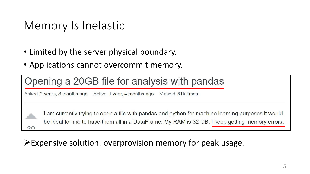#### Memory Is Inelastic

- Limited by the server physical boundary.
- Applications cannot overcommit memory.

#### Opening a 20GB file for analysis with pandas

Asked 2 years, 8 months ago Active 1 year, 4 months ago Viewed 81k times

 $\Omega$ 

I am currently trying to open a file with pandas and python for machine learning purposes it would be ideal for me to have them all in a DataFrame. My RAM is 32 GB. I keep getting memory errors.

#### ➢Expensive solution: overprovision memory for peak usage.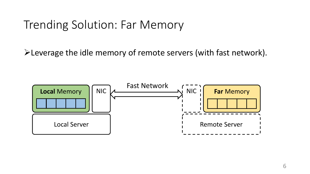#### Trending Solution: Far Memory

➢Leverage the idle memory of remote servers (with fast network).

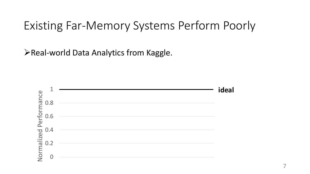➢Real-world Data Analytics from Kaggle.

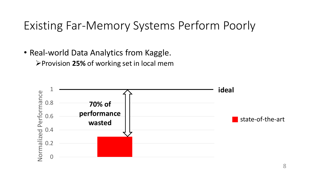• Real-world Data Analytics from Kaggle.

➢Provision **25%** of working set in local mem

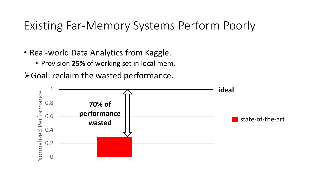- Real-world Data Analytics from Kaggle.
	- Provision **25%** of working set in local mem.
- ➢Goal: reclaim the wasted performance.

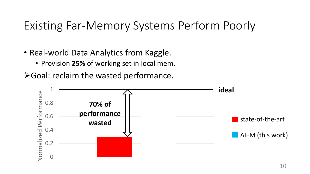- Real-world Data Analytics from Kaggle.
	- Provision **25%** of working set in local mem.
- ➢Goal: reclaim the wasted performance.

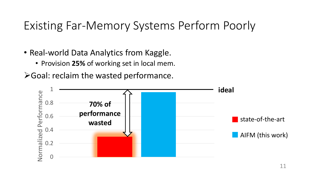- Real-world Data Analytics from Kaggle.
	- Provision **25%** of working set in local mem.
- ➢Goal: reclaim the wasted performance.

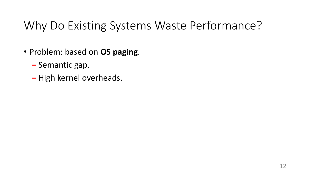## Why Do Existing Systems Waste Performance?

- Problem: based on **OS paging**.
	- **‒** Semantic gap.
	- **‒** High kernel overheads.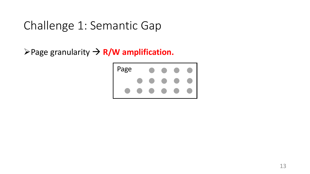➢Page granularity → **R/W amplification.** 

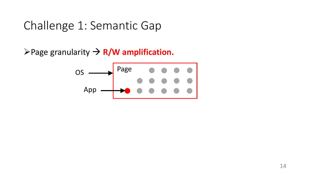➢Page granularity → **R/W amplification.** 

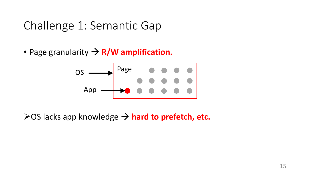• Page granularity → **R/W amplification.**



➢OS lacks app knowledge → **hard to prefetch, etc.**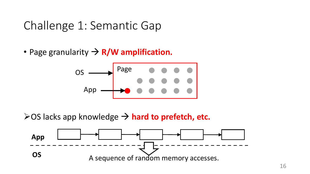• Page granularity → **R/W amplification.**



➢OS lacks app knowledge → **hard to prefetch, etc.**

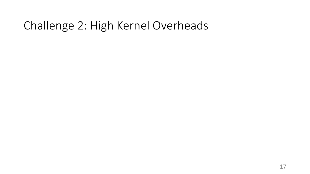## Challenge 2: High Kernel Overheads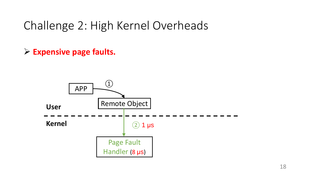## Challenge 2: High Kernel Overheads

➢ **Expensive page faults.**

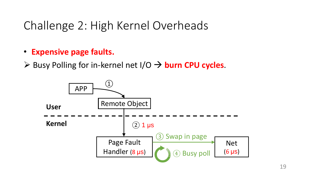## Challenge 2: High Kernel Overheads

- **Expensive page faults.**
- ➢ Busy Polling for in-kernel net I/O → **burn CPU cycles**.

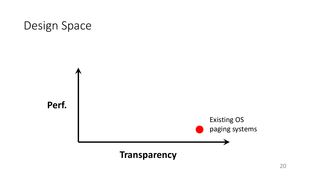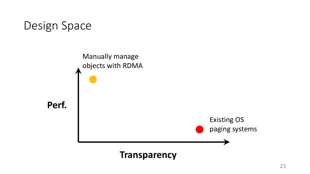

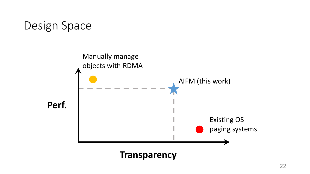

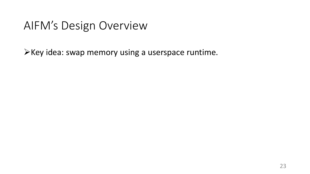#### AIFM's Design Overview

➢Key idea: swap memory using a userspace runtime.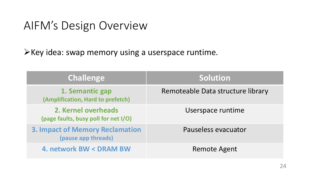#### AIFM's Design Overview

➢Key idea: swap memory using a userspace runtime.

| <b>Challenge</b>                                              | Solution                          |
|---------------------------------------------------------------|-----------------------------------|
| 1. Semantic gap<br>(Amplification, Hard to prefetch)          | Remoteable Data structure library |
| 2. Kernel overheads<br>(page faults, busy poll for net I/O)   | Userspace runtime                 |
| <b>3. Impact of Memory Reclamation</b><br>(pause app threads) | Pauseless evacuator               |
| <b>4. network BW &lt; DRAM BW</b>                             | <b>Remote Agent</b>               |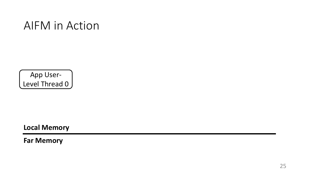#### AIFM in Action

App User-Level Thread 0

**Local Memory**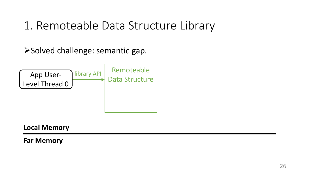➢Solved challenge: semantic gap.



**Local Memory**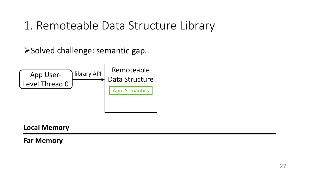➢Solved challenge: semantic gap.



#### **Local Memory**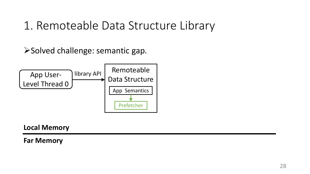➢Solved challenge: semantic gap.



#### **Local Memory**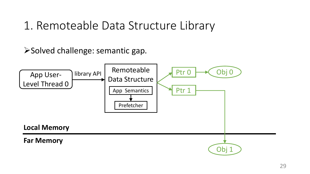➢Solved challenge: semantic gap.

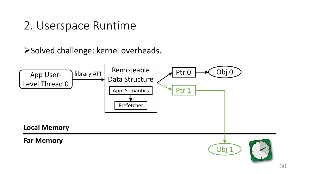## 2. Userspace Runtime

➢Solved challenge: kernel overheads.

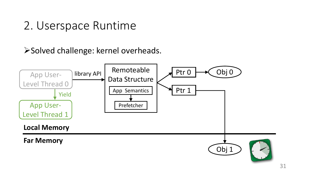## 2. Userspace Runtime

#### ➢Solved challenge: kernel overheads.

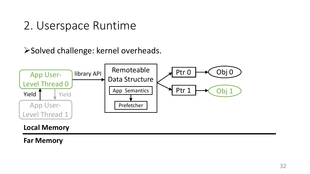## 2. Userspace Runtime

#### ➢Solved challenge: kernel overheads.

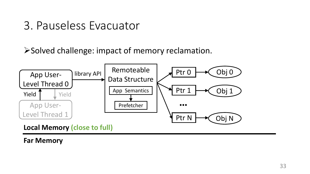➢Solved challenge: impact of memory reclamation.



**Local Memory (close to full)**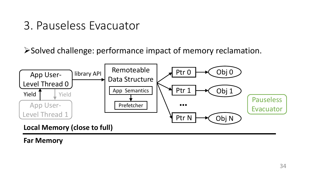➢Solved challenge: performance impact of memory reclamation.

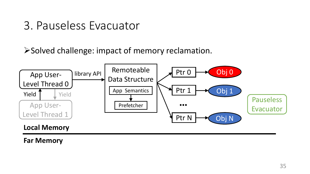➢Solved challenge: impact of memory reclamation.

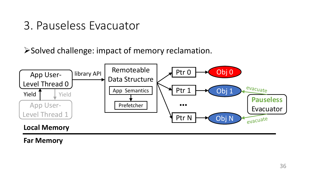➢Solved challenge: impact of memory reclamation.

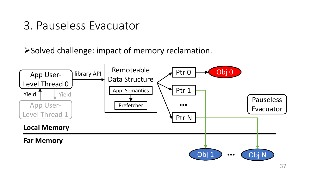## 3. Pauseless Evacuator

➢Solved challenge: impact of memory reclamation.

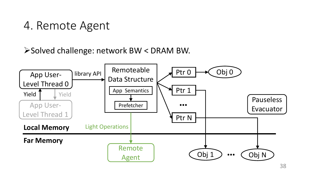# 4. Remote Agent

#### ➢Solved challenge: network BW < DRAM BW.

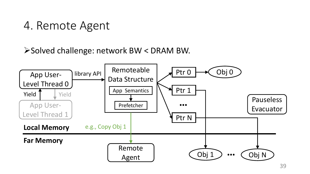# 4. Remote Agent

#### ➢Solved challenge: network BW < DRAM BW.

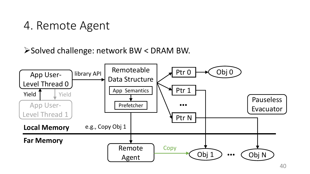# 4. Remote Agent

#### ➢Solved challenge: network BW < DRAM BW.

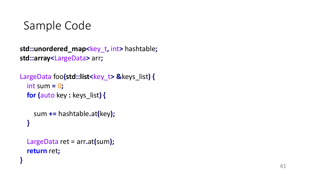```
std::unordered_map
<key_t
, int
> hashtable
;
std::array
<LargeData
> arr
;
```

```
\frac{1}{2} LargeData foo(std::list<key_t> &keys_list) {
  int sum 
=
0
;
  for
(auto key 
: keys_list
)
{
```

```
sum += hashtable
.at
(key);
}
```

```
LargeData ret = arr.at(sum);
return ret
;
```
**}**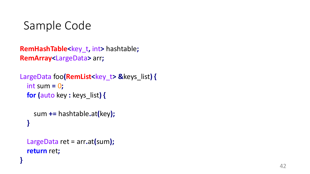```
RemHashTable
<key_t
, int
> hashtable
;
RemArray
<LargeData
> arr
;
```

```
\frac{1}{2} LargeData foo(RemList<key_t> &keys_list) {
  int sum 
=
0
;
  for
(auto key 
: keys_list
)
{
```

```
sum += hashtable
.at
(key);
}
```

```
LargeData ret = arr.at(sum);
return ret
;
```
**}**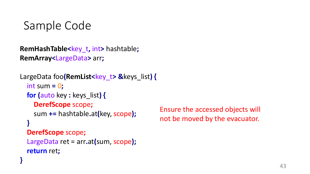```
RemHashTable<key_t, int> hashtable;
RemArray<LargeData> arr;
```

```
LargeData foo(RemList<key_t> &keys_list) {
  int sum = 0;
  for (auto key : keys_list) {
    DerefScope scope;
    sum += hashtable.at(key, scope);
  }
  DerefScope scope;
  LargeData ret = arr.at(sum, scope);
  return ret;
}
```
Ensure the accessed objects will not be moved by the evacuator.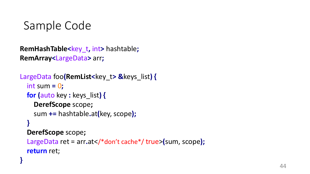**}**

```
RemHashTable<key_t, int> hashtable;
RemArray<LargeData> arr;
```

```
LargeData foo(RemList<key_t> &keys_list) {
  int sum = 0;
  for (auto key : keys_list) {
    DerefScope scope;
    sum += hashtable.at(key, scope);
  }
  DerefScope scope;
  LargeData ret = arr.at</*don't cache*/ true>(sum, scope);
  return ret;
```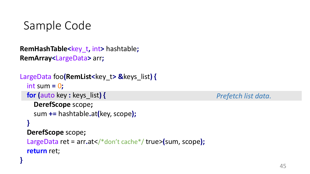```
RemHashTable<key_t, int> hashtable;
RemArray<LargeData> arr;
```

```
LargeData foo(RemList<key_t> &keys_list) {
  int sum = 0;
 for (auto key : keys_list) {
    DerefScope scope;
    sum += hashtable.at(key, scope);
  }
  DerefScope scope;
  LargeData ret = arr.at</*don't cache*/ true>(sum, scope);
  return ret;
}
```
*Prefetch list data.*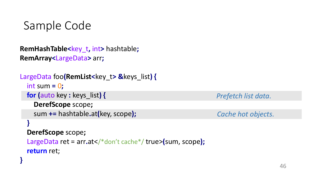```
RemHashTable<key_t, int> hashtable;
RemArray<LargeData> arr;
```

```
LargeData foo(RemList<key_t> &keys_list) {
  int sum = 0;
 for (auto key : keys_list) {
    DerefScope scope;
    sum += hashtable.at(key, scope);
  }
  DerefScope scope;
  LargeData ret = arr.at</*don't cache*/ true>(sum, scope);
  return ret;
}
```
*Prefetch list data.* 

*Cache hot objects.*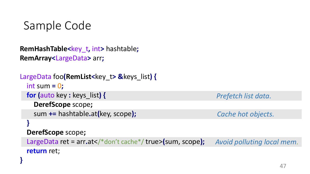```
RemHashTable<key_t, int> hashtable;
RemArray<LargeData> arr;
```

```
LargeData foo(RemList<key_t> &keys_list) {
  int sum = 0;
 for (auto key : keys_list) {
    DerefScope scope;
    sum += hashtable.at(key, scope);
  }
  DerefScope scope;
  LargeData ret = arr.at</*don't cache*/ true>(sum, scope);
  return ret;
}
                                                               Prefetch list data. 
                                                               Avoid polluting local mem.
                                                                Cache hot objects.
```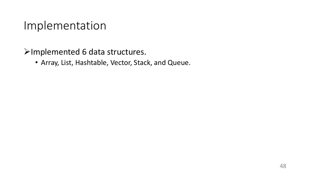➢Implemented 6 data structures.

• Array, List, Hashtable, Vector, Stack, and Queue.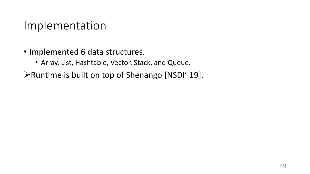- Implemented 6 data structures.
	- Array, List, Hashtable, Vector, Stack, and Queue.
- ➢Runtime is built on top of Shenango [NSDI' 19].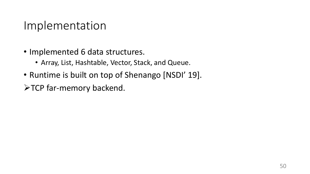- Implemented 6 data structures.
	- Array, List, Hashtable, Vector, Stack, and Queue.
- Runtime is built on top of Shenango [NSDI' 19].
- ➢TCP far-memory backend.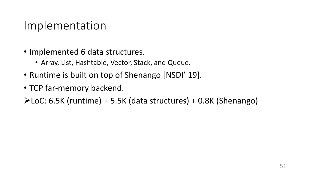- Implemented 6 data structures.
	- Array, List, Hashtable, Vector, Stack, and Queue.
- Runtime is built on top of Shenango [NSDI' 19].
- TCP far-memory backend.

➢LoC: 6.5K (runtime) + 5.5K (data structures) + 0.8K (Shenango)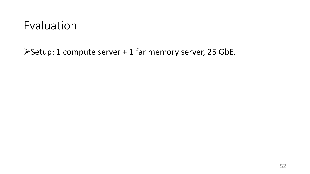➢Setup: 1 compute server + 1 far memory server, 25 GbE.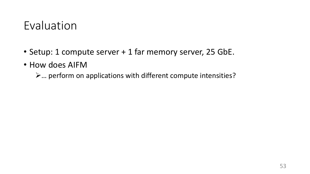- Setup: 1 compute server + 1 far memory server, 25 GbE.
- How does AIFM
	- ➢… perform on applications with different compute intensities?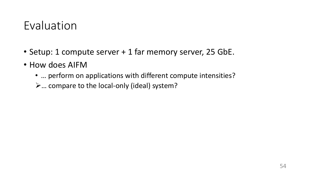- Setup: 1 compute server + 1 far memory server, 25 GbE.
- How does AIFM
	- … perform on applications with different compute intensities?
	- ➢… compare to the local-only (ideal) system?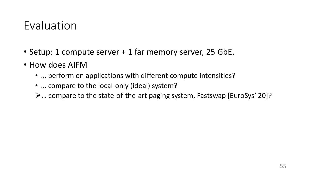- Setup: 1 compute server + 1 far memory server, 25 GbE.
- How does AIFM
	- … perform on applications with different compute intensities?
	- ... compare to the local-only (ideal) system?
	- ➢… compare to the state-of-the-art paging system, Fastswap [EuroSys' 20]?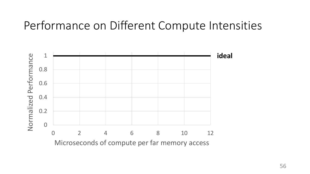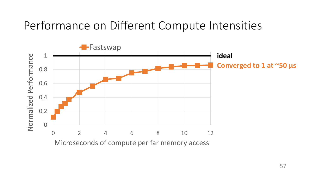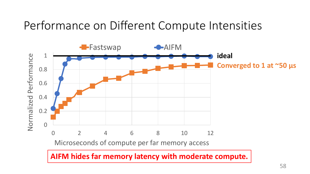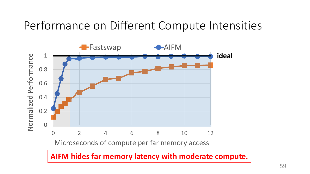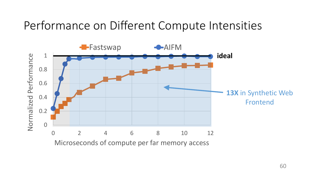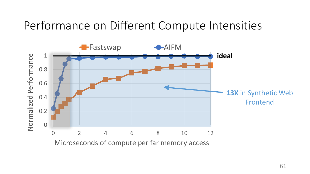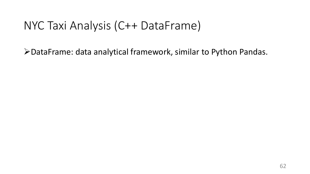➢DataFrame: data analytical framework, similar to Python Pandas.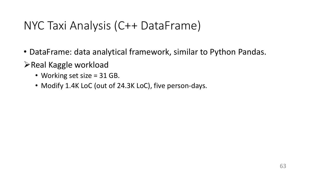- DataFrame: data analytical framework, similar to Python Pandas.
- ➢Real Kaggle workload
	- Working set size = 31 GB.
	- Modify 1.4K LoC (out of 24.3K LoC), five person-days.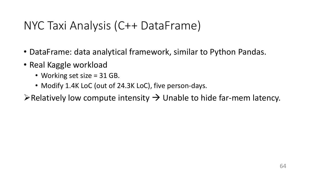- DataFrame: data analytical framework, similar to Python Pandas.
- Real Kaggle workload
	- Working set size = 31 GB.
	- Modify 1.4K LoC (out of 24.3K LoC), five person-days.
- $\triangleright$  Relatively low compute intensity  $\rightarrow$  Unable to hide far-mem latency.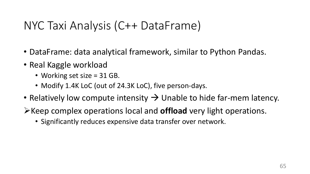- DataFrame: data analytical framework, similar to Python Pandas.
- Real Kaggle workload
	- Working set size = 31 GB.
	- Modify 1.4K LoC (out of 24.3K LoC), five person-days.
- Relatively low compute intensity  $\rightarrow$  Unable to hide far-mem latency.
- ➢Keep complex operations local and **offload** very light operations.
	- Significantly reduces expensive data transfer over network.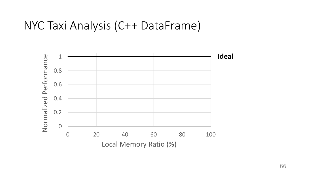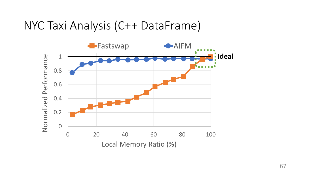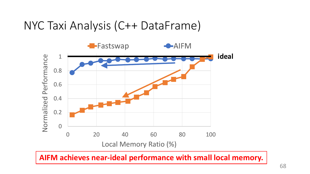

**AIFM achieves near-ideal performance with small local memory.**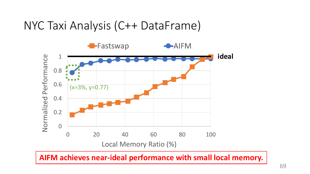

**AIFM achieves near-ideal performance with small local memory.**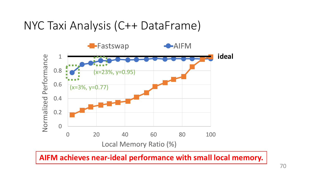

**AIFM achieves near-ideal performance with small local memory.**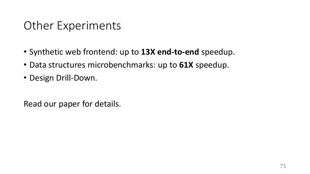# Other Experiments

- Synthetic web frontend: up to **13X end-to-end** speedup.
- Data structures microbenchmarks: up to **61X** speedup.
- Design Drill-Down.

Read our paper for details.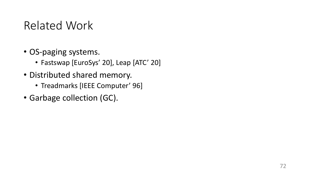# Related Work

- OS-paging systems.
	- Fastswap [EuroSys' 20], Leap [ATC' 20]
- Distributed shared memory.
	- Treadmarks [IEEE Computer' 96]
- Garbage collection (GC).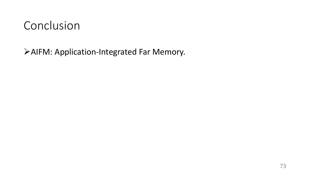➢AIFM: Application-Integrated Far Memory.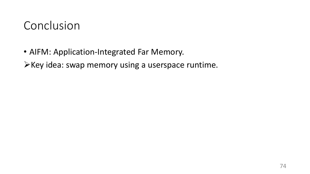• AIFM: Application-Integrated Far Memory.

➢Key idea: swap memory using a userspace runtime.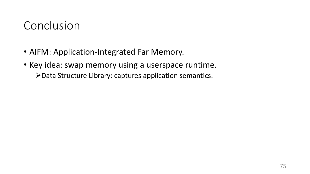- AIFM: Application-Integrated Far Memory.
- Key idea: swap memory using a userspace runtime. ➢Data Structure Library: captures application semantics.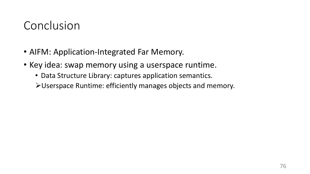- AIFM: Application-Integrated Far Memory.
- Key idea: swap memory using a userspace runtime.
	- Data Structure Library: captures application semantics.
	- ➢Userspace Runtime: efficiently manages objects and memory.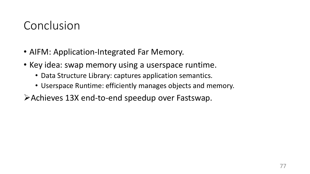- AIFM: Application-Integrated Far Memory.
- Key idea: swap memory using a userspace runtime.
	- Data Structure Library: captures application semantics.
	- Userspace Runtime: efficiently manages objects and memory.
- ➢Achieves 13X end-to-end speedup over Fastswap.